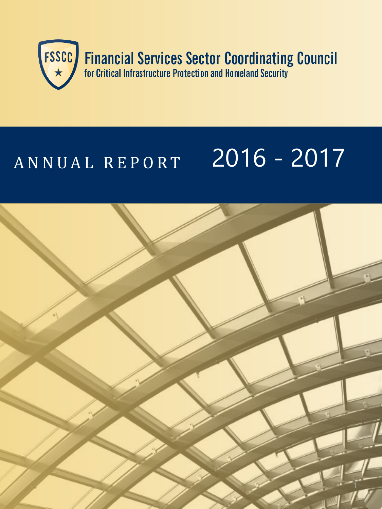

# A N N U A L R E P O R T 2016 - 2017

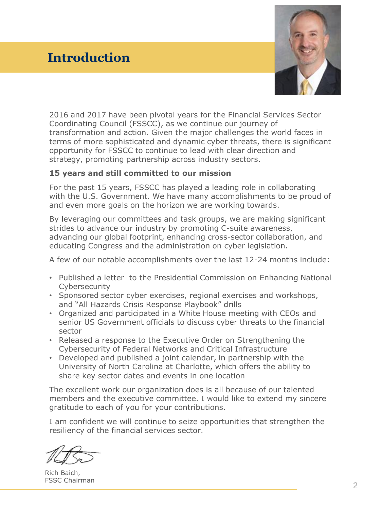### **Introduction**



2016 and 2017 have been pivotal years for the Financial Services Sector Coordinating Council (FSSCC), as we continue our journey of transformation and action. Given the major challenges the world faces in terms of more sophisticated and dynamic cyber threats, there is significant opportunity for FSSCC to continue to lead with clear direction and strategy, promoting partnership across industry sectors.

#### **15 years and still committed to our mission**

For the past 15 years, FSSCC has played a leading role in collaborating with the U.S. Government. We have many accomplishments to be proud of and even more goals on the horizon we are working towards.

By leveraging our committees and task groups, we are making significant strides to advance our industry by promoting C-suite awareness, advancing our global footprint, enhancing cross-sector collaboration, and educating Congress and the administration on cyber legislation.

A few of our notable accomplishments over the last 12-24 months include:

- Published a letter to the Presidential Commission on Enhancing National **Cybersecurity**
- Sponsored sector cyber exercises, regional exercises and workshops, and "All Hazards Crisis Response Playbook" drills
- Organized and participated in a White House meeting with CEOs and senior US Government officials to discuss cyber threats to the financial sector
- Released a response to the Executive Order on Strengthening the Cybersecurity of Federal Networks and Critical Infrastructure
- Developed and published a joint calendar, in partnership with the University of North Carolina at Charlotte, which offers the ability to share key sector dates and events in one location

The excellent work our organization does is all because of our talented members and the executive committee. I would like to extend my sincere gratitude to each of you for your contributions.

I am confident we will continue to seize opportunities that strengthen the resiliency of the financial services sector.

Rich Baich, FSSC Chairman<br><u>2</u>2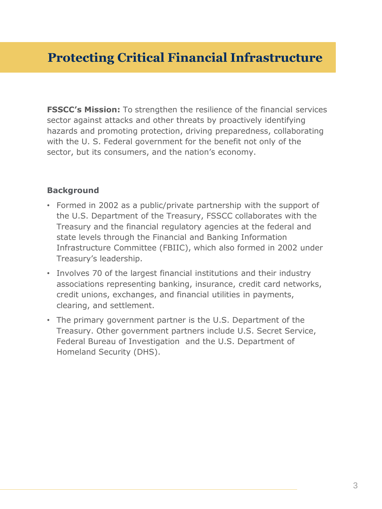**FSSCC's Mission:** To strengthen the resilience of the financial services sector against attacks and other threats by proactively identifying hazards and promoting protection, driving preparedness, collaborating with the U. S. Federal government for the benefit not only of the sector, but its consumers, and the nation's economy.

#### **Background**

- Formed in 2002 as a public/private partnership with the support of the U.S. Department of the Treasury, FSSCC collaborates with the Treasury and the financial regulatory agencies at the federal and state levels through the Financial and Banking Information Infrastructure Committee (FBIIC), which also formed in 2002 under Treasury's leadership.
- Involves 70 of the largest financial institutions and their industry associations representing banking, insurance, credit card networks, credit unions, exchanges, and financial utilities in payments, clearing, and settlement.
- The primary government partner is the U.S. Department of the Treasury. Other government partners include U.S. Secret Service, Federal Bureau of Investigation and the U.S. Department of Homeland Security (DHS).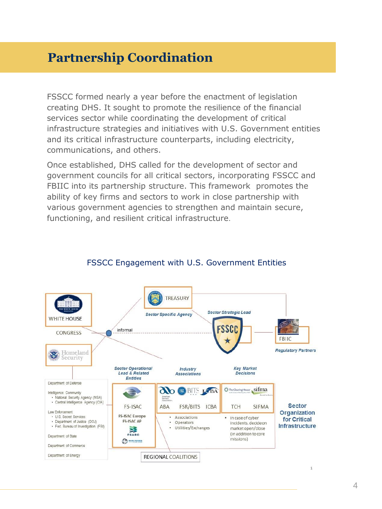# **Partnership Coordination**

FSSCC formed nearly a year before the enactment of legislation creating DHS. It sought to promote the resilience of the financial services sector while coordinating the development of critical infrastructure strategies and initiatives with U.S. Government entities and its critical infrastructure counterparts, including electricity, communications, and others.

Once established, DHS called for the development of sector and government councils for all critical sectors, incorporating FSSCC and FBIIC into its partnership structure. This framework promotes the ability of key firms and sectors to work in close partnership with various government agencies to strengthen and maintain secure, functioning, and resilient critical infrastructure.



#### FSSCC Engagement with U.S. Government Entities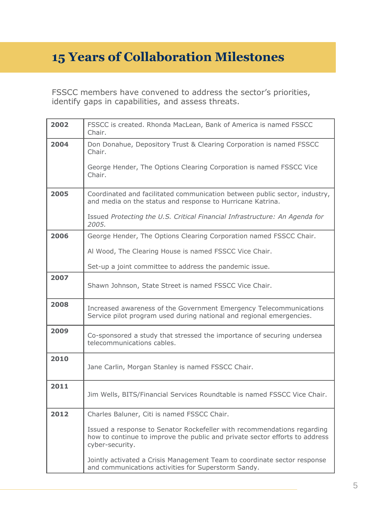# **15 Years of Collaboration Milestones**

FSSCC members have convened to address the sector's priorities, identify gaps in capabilities, and assess threats.

| 2002 | FSSCC is created. Rhonda MacLean, Bank of America is named FSSCC<br>Chair.                                                                                                |  |
|------|---------------------------------------------------------------------------------------------------------------------------------------------------------------------------|--|
| 2004 | Don Donahue, Depository Trust & Clearing Corporation is named FSSCC<br>Chair.                                                                                             |  |
|      | George Hender, The Options Clearing Corporation is named FSSCC Vice<br>Chair.                                                                                             |  |
| 2005 | Coordinated and facilitated communication between public sector, industry,<br>and media on the status and response to Hurricane Katrina.                                  |  |
|      | Issued Protecting the U.S. Critical Financial Infrastructure: An Agenda for<br>2005.                                                                                      |  |
| 2006 | George Hender, The Options Clearing Corporation named FSSCC Chair.                                                                                                        |  |
|      | Al Wood, The Clearing House is named FSSCC Vice Chair.                                                                                                                    |  |
|      | Set-up a joint committee to address the pandemic issue.                                                                                                                   |  |
| 2007 | Shawn Johnson, State Street is named FSSCC Vice Chair.                                                                                                                    |  |
| 2008 | Increased awareness of the Government Emergency Telecommunications<br>Service pilot program used during national and regional emergencies.                                |  |
| 2009 | Co-sponsored a study that stressed the importance of securing undersea<br>telecommunications cables.                                                                      |  |
| 2010 | Jane Carlin, Morgan Stanley is named FSSCC Chair.                                                                                                                         |  |
| 2011 | Jim Wells, BITS/Financial Services Roundtable is named FSSCC Vice Chair.                                                                                                  |  |
| 2012 | Charles Baluner, Citi is named FSSCC Chair.                                                                                                                               |  |
|      | Issued a response to Senator Rockefeller with recommendations regarding<br>how to continue to improve the public and private sector efforts to address<br>cyber-security. |  |
|      | Jointly activated a Crisis Management Team to coordinate sector response<br>and communications activities for Superstorm Sandy.                                           |  |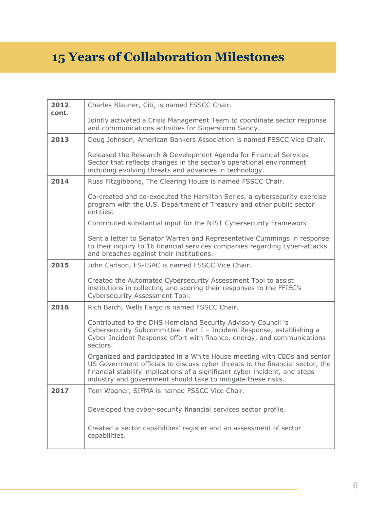# **15 Years of Collaboration Milestones**

| 2012  | Charles Blauner, Citi, is named FSSCC Chair.                                                                                                                                                                                                                                                             |  |
|-------|----------------------------------------------------------------------------------------------------------------------------------------------------------------------------------------------------------------------------------------------------------------------------------------------------------|--|
| cont. | Jointly activated a Crisis Management Team to coordinate sector response<br>and communications activities for Superstorm Sandy.                                                                                                                                                                          |  |
| 2013  | Doug Johnson, American Bankers Association is named FSSCC Vice Chair.                                                                                                                                                                                                                                    |  |
|       | Released the Research & Development Agenda for Financial Services<br>Sector that reflects changes in the sector's operational environment<br>including evolving threats and advances in technology.                                                                                                      |  |
| 2014  | Russ Fitzgibbons, The Clearing House is named FSSCC Chair.                                                                                                                                                                                                                                               |  |
|       | Co-created and co-executed the Hamilton Series, a cybersecurity exercise<br>program with the U.S. Department of Treasury and other public sector<br>entities.                                                                                                                                            |  |
|       | Contributed substantial input for the NIST Cybersecurity Framework.                                                                                                                                                                                                                                      |  |
|       | Sent a letter to Senator Warren and Representative Cummings in response<br>to their inquiry to 16 financial services companies regarding cyber-attacks<br>and breaches against their institutions.                                                                                                       |  |
| 2015  | John Carlson, FS-ISAC is named FSSCC Vice Chair.                                                                                                                                                                                                                                                         |  |
|       | Created the Automated Cybersecurity Assessment Tool to assist<br>institutions in collecting and scoring their responses to the FFIEC's<br>Cybersecurity Assessment Tool.                                                                                                                                 |  |
| 2016  | Rich Baich, Wells Fargo is named FSSCC Chair.                                                                                                                                                                                                                                                            |  |
|       | Contributed to the DHS Homeland Security Advisory Council 's<br>Cybersecurity Subcommittee: Part I - Incident Response, establishing a<br>Cyber Incident Response effort with finance, energy, and communications<br>sectors.                                                                            |  |
|       | Organized and participated in a White House meeting with CEOs and senior<br>US Government officials to discuss cyber threats to the financial sector, the<br>financial stability implications of a significant cyber incident, and steps<br>industry and government should take to mitigate these risks. |  |
| 2017  | Tom Wagner, SIFMA is named FSSCC Vice Chair.                                                                                                                                                                                                                                                             |  |
|       | Developed the cyber-security financial services sector profile.                                                                                                                                                                                                                                          |  |
|       | Created a sector capabilities' register and an assessment of sector<br>capabilities.                                                                                                                                                                                                                     |  |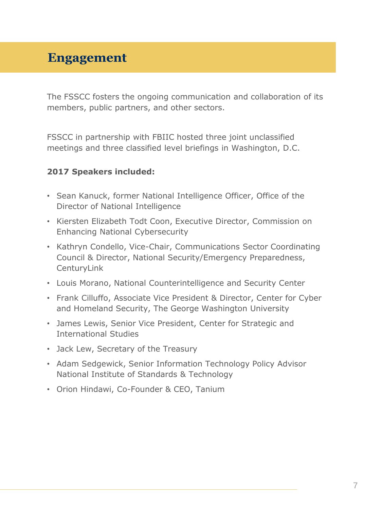## **Engagement**

The FSSCC fosters the ongoing communication and collaboration of its members, public partners, and other sectors.

FSSCC in partnership with FBIIC hosted three joint unclassified meetings and three classified level briefings in Washington, D.C.

#### **2017 Speakers included:**

- Sean Kanuck, former National Intelligence Officer, Office of the Director of National Intelligence
- Kiersten Elizabeth Todt Coon, Executive Director, Commission on Enhancing National Cybersecurity
- Kathryn Condello, Vice-Chair, Communications Sector Coordinating Council & Director, National Security/Emergency Preparedness, **CenturyLink**
- Louis Morano, National Counterintelligence and Security Center
- Frank Cilluffo, Associate Vice President & Director, Center for Cyber and Homeland Security, The George Washington University
- James Lewis, Senior Vice President, Center for Strategic and International Studies
- Jack Lew, Secretary of the Treasury
- Adam Sedgewick, Senior Information Technology Policy Advisor National Institute of Standards & Technology
- Orion Hindawi, Co-Founder & CEO, Tanium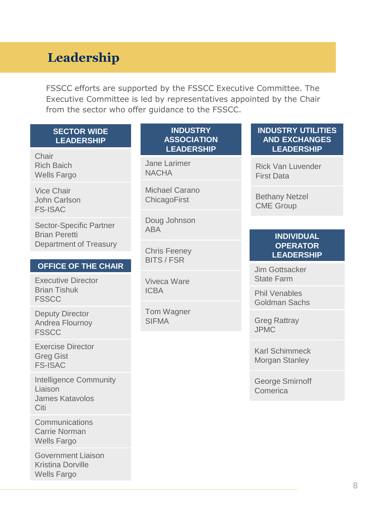# **Leadership**

FSSCC efforts are supported by the FSSCC Executive Committee. The Executive Committee is led by representatives appointed by the Chair from the sector who offer guidance to the FSSCC.

| <b>SECTOR WIDE</b> |
|--------------------|
| <b>LEADERSHIP</b>  |

**Chair** Rich Baich Wells Fargo

Vice Chair John Carlson FS-ISAC

Sector-Specific Partner Brian Peretti Department of Treasury

#### **OFFICE OF THE CHAIR**

Executive Director Brian Tishuk **FSSCC** 

Deputy Director Andrea Flournoy **FSSCC** 

Exercise Director Greg Gist FS-ISAC

Intelligence Community Liaison James Katavolos Citi

**Communications** Carrie Norman Wells Fargo

Government Liaison Kristina Dorville Wells Fargo

#### **INDUSTRY ASSOCIATION LEADERSHIP**

Jane Larimer **NACHA** 

Michael Carano **ChicagoFirst** 

Doug Johnson ABA

Chris Feeney BITS / FSR

Viveca Ware ICBA

Tom Wagner SIFMA

#### **INDUSTRY UTILITIES AND EXCHANGES LEADERSHIP**

Rick Van Luvender First Data

Bethany Netzel CME Group

#### **INDIVIDUAL OPERATOR LEADERSHIP**

Jim Gottsacker State Farm

Phil Venables Goldman Sachs

Greg Rattray JPMC

Karl Schimmeck Morgan Stanley

George Smirnoff Comerica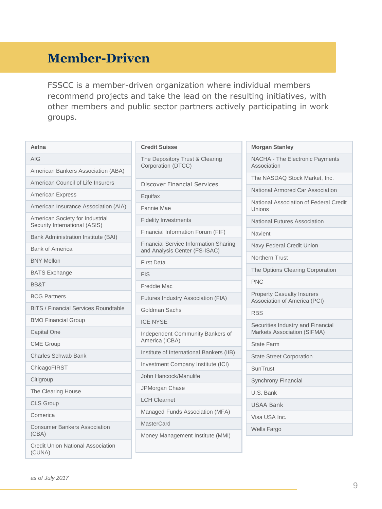# **Member-Driven**

FSSCC is a member-driven organization where individual members recommend projects and take the lead on the resulting initiatives, with other members and public sector partners actively participating in work groups.

| Aetna                                                            | <b>Credit Suisse</b>                     |  |
|------------------------------------------------------------------|------------------------------------------|--|
| AIG                                                              | The Depository                           |  |
| American Bankers Association (ABA)                               | Corporation (D                           |  |
| American Council of Life Insurers                                | Discover Fina                            |  |
| <b>American Express</b>                                          | Equifax                                  |  |
| American Insurance Association (AIA)                             | Fannie Mae                               |  |
| American Society for Industrial<br>Security International (ASIS) | <b>Fidelity Investn</b>                  |  |
| Bank Administration Institute (BAI)                              | <b>Financial Inforr</b>                  |  |
| <b>Bank of America</b>                                           | <b>Financial Servi</b><br>and Analysis C |  |
| <b>BNY Mellon</b>                                                | <b>First Data</b>                        |  |
| <b>BATS Exchange</b>                                             | <b>FIS</b>                               |  |
| BB&T                                                             | Freddie Mac                              |  |
| <b>BCG Partners</b>                                              | Futures Industi                          |  |
| <b>BITS / Financial Services Roundtable</b>                      | Goldman Sach                             |  |
| <b>BMO Financial Group</b>                                       | <b>ICE NYSE</b>                          |  |
| <b>Capital One</b>                                               | Independent C                            |  |
| <b>CME Group</b>                                                 | America (ICBA                            |  |
| <b>Charles Schwab Bank</b>                                       | Institute of Inte                        |  |
| ChicagoFIRST                                                     | Investment Co                            |  |
| Citigroup                                                        | John Hancock                             |  |
| The Clearing House                                               | JPMorgan Cha                             |  |
| <b>CLS Group</b>                                                 | <b>LCH Clearnet</b>                      |  |
| Comerica                                                         | Managed Fund                             |  |
| <b>Consumer Bankers Association</b><br>(CBA)                     | <b>MasterCard</b><br>Money Manage        |  |
| <b>Credit Union National Association</b><br>(CUNA)               |                                          |  |

| The Depository Trust & Clearing<br>Corporation (DTCC)                         |
|-------------------------------------------------------------------------------|
| <b>Discover Financial Services</b>                                            |
| Equifax                                                                       |
| Fannie Mae                                                                    |
| <b>Fidelity Investments</b>                                                   |
| Financial Information Forum (FIF)                                             |
| <b>Financial Service Information Sharing</b><br>and Analysis Center (FS-ISAC) |
| <b>First Data</b>                                                             |
| <b>FIS</b>                                                                    |
| Freddie Mac                                                                   |
| <b>Futures Industry Association (FIA)</b>                                     |
| Goldman Sachs                                                                 |
| <b>ICE NYSE</b>                                                               |
| Independent Community Bankers of<br>America (ICBA)                            |
| Institute of International Bankers (IIB)                                      |
| Investment Company Institute (ICI)                                            |
| John Hancock/Manulife                                                         |
| JPMorgan Chase                                                                |
| <b>LCH Clearnet</b>                                                           |
| Managed Funds Association (MFA)                                               |
| <b>MasterCard</b>                                                             |
| Money Management Institute (MMI)                                              |

| <b>Morgan Stanley</b>                                             |
|-------------------------------------------------------------------|
| NACHA - The Electronic Payments<br>Association                    |
| The NASDAQ Stock Market. Inc.                                     |
| National Armored Car Association                                  |
| National Association of Federal Credit<br>Unions                  |
| National Futures Association                                      |
| Navient                                                           |
| Navy Federal Credit Union                                         |
| Northern Trust                                                    |
| The Options Clearing Corporation                                  |
| <b>PNC</b>                                                        |
| <b>Property Casualty Insurers</b><br>Association of America (PCI) |
| <b>RBS</b>                                                        |
| Securities Industry and Financial<br>Markets Association (SIFMA)  |
| <b>State Farm</b>                                                 |
| <b>State Street Corporation</b>                                   |
| SunTrust                                                          |
| Synchrony Financial                                               |
| U.S. Bank                                                         |
| <b>USAA Bank</b>                                                  |
| Visa USA Inc.                                                     |
| Wells Fargo                                                       |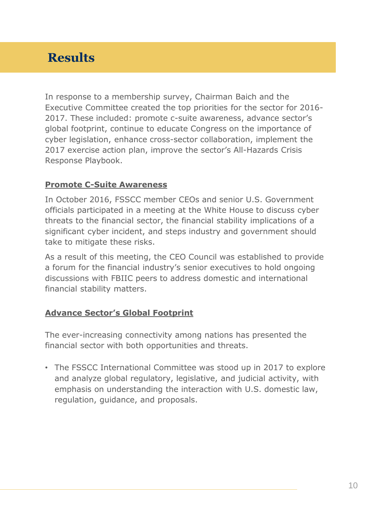# **Results**

In response to a membership survey, Chairman Baich and the Executive Committee created the top priorities for the sector for 2016- 2017. These included: promote c-suite awareness, advance sector's global footprint, continue to educate Congress on the importance of cyber legislation, enhance cross-sector collaboration, implement the 2017 exercise action plan, improve the sector's All-Hazards Crisis Response Playbook.

#### **Promote C-Suite Awareness**

In October 2016, FSSCC member CEOs and senior U.S. Government officials participated in a meeting at the White House to discuss cyber threats to the financial sector, the financial stability implications of a significant cyber incident, and steps industry and government should take to mitigate these risks.

As a result of this meeting, the CEO Council was established to provide a forum for the financial industry's senior executives to hold ongoing discussions with FBIIC peers to address domestic and international financial stability matters.

#### **Advance Sector's Global Footprint**

The ever-increasing connectivity among nations has presented the financial sector with both opportunities and threats.

• The FSSCC International Committee was stood up in 2017 to explore and analyze global regulatory, legislative, and judicial activity, with emphasis on understanding the interaction with U.S. domestic law, regulation, guidance, and proposals.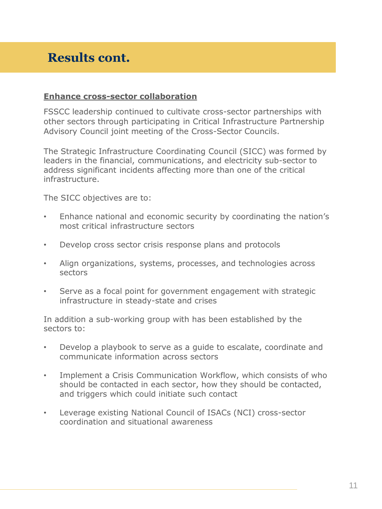## **Results cont.**

#### **Enhance cross-sector collaboration**

FSSCC leadership continued to cultivate cross-sector partnerships with other sectors through participating in Critical Infrastructure Partnership Advisory Council joint meeting of the Cross-Sector Councils.

The Strategic Infrastructure Coordinating Council (SICC) was formed by leaders in the financial, communications, and electricity sub-sector to address significant incidents affecting more than one of the critical infrastructure.

The SICC objectives are to:

- Enhance national and economic security by coordinating the nation's most critical infrastructure sectors
- Develop cross sector crisis response plans and protocols
- Align organizations, systems, processes, and technologies across sectors
- Serve as a focal point for government engagement with strategic infrastructure in steady-state and crises

In addition a sub-working group with has been established by the sectors to:

- Develop a playbook to serve as a guide to escalate, coordinate and communicate information across sectors
- Implement a Crisis Communication Workflow, which consists of who should be contacted in each sector, how they should be contacted, and triggers which could initiate such contact
- Leverage existing National Council of ISACs (NCI) cross-sector coordination and situational awareness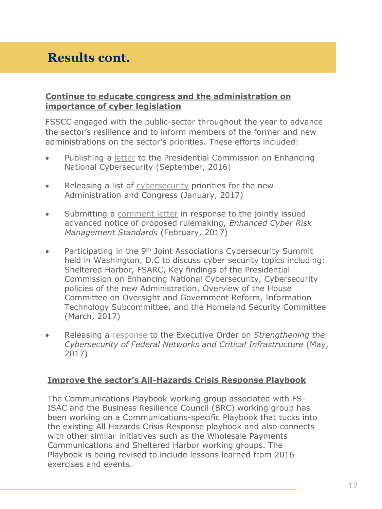# **Results cont.**

#### **Continue to educate congress and the administration on importance of cyber legislation**

FSSCC engaged with the public-sector throughout the year to advance the sector's resilience and to inform members of the former and new administrations on the sector's priorities. These efforts included:

- Publishing a [letter](https://www.fsscc.org/files/galleries/FSSCC_Submission_to_the_Presidential_Commission_on_Enhancing_National_Cybersecurity_Letter_vF.pdf) to the Presidential Commission on Enhancing National Cybersecurity (September, 2016)
- Releasing a list of [cybersecurity](https://www.fsscc.org/files/galleries/FSSCC_Cybersecurity_Recommendations_for_Administration_and_Congress_2017.pdf) priorities for the new Administration and Congress (January, 2017)
- Submitting a [comment letter](https://www.fsscc.org/files/galleries/FSSCC_Cyber_ANPR_Comment_Letter_2-17-17-0001.pdf) in response to the jointly issued advanced notice of proposed rulemaking, *Enhanced Cyber Risk Management Standards* (February, 2017)
- Participating in the 9<sup>th</sup> Joint Associations Cybersecurity Summit held in Washington, D.C to discuss cyber security topics including: Sheltered Harbor, FSARC, Key findings of the Presidential Commission on Enhancing National Cybersecurity, Cybersecurity policies of the new Administration, Overview of the House Committee on Oversight and Government Reform, Information Technology Subcommittee, and the Homeland Security Committee (March, 2017)
- Releasing a [response](https://www.fsscc.org/files/galleries/FSSCC_Cyber_EO_release_5_12_17.pdf) to the Executive Order on *Strengthening the Cybersecurity of Federal Networks and Critical Infrastructure* (May, 2017)

#### **Improve the sector's All-Hazards Crisis Response Playbook**

The Communications Playbook working group associated with FS-ISAC and the Business Resilience Council (BRC) working group has been working on a Communications-specific Playbook that tucks into the existing All Hazards Crisis Response playbook and also connects with other similar initiatives such as the Wholesale Payments Communications and Sheltered Harbor working groups. The Playbook is being revised to include lessons learned from 2016 exercises and events.